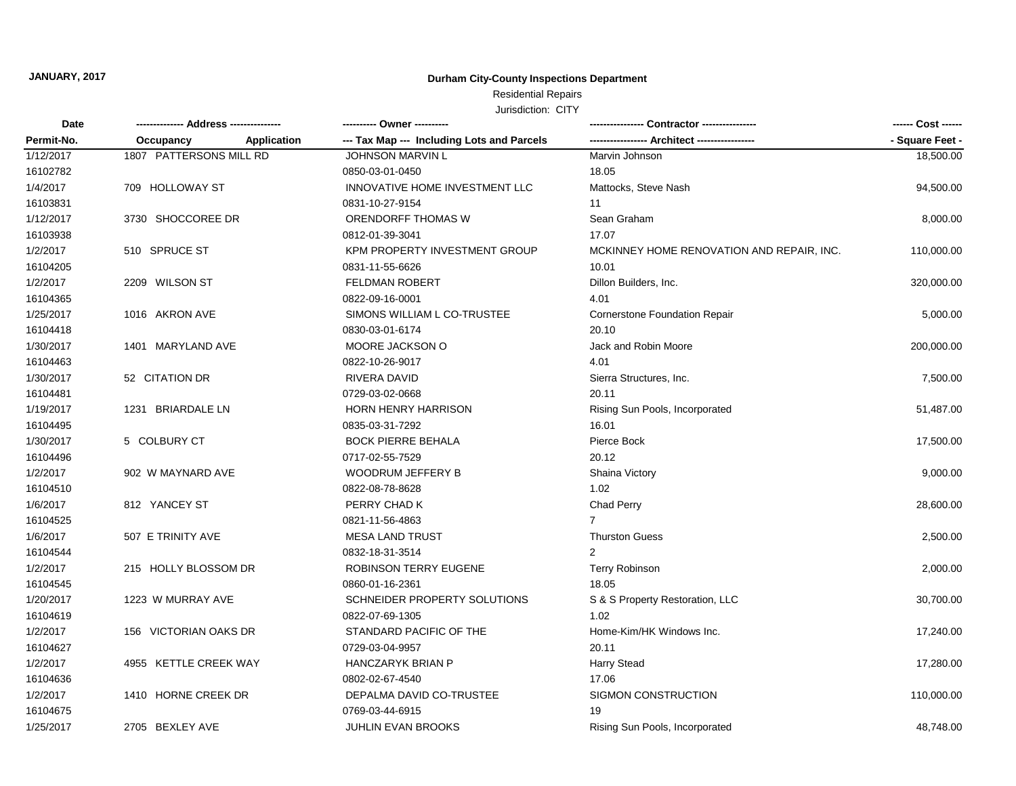### **Durham City-County Inspections Department**

# Residential Repairs

| Date<br>Permit-No. |                         |             | ---------- Owner ----------                |                                           | ------ Cost ------ |
|--------------------|-------------------------|-------------|--------------------------------------------|-------------------------------------------|--------------------|
|                    | Occupancy               | Application | --- Tax Map --- Including Lots and Parcels |                                           | - Square Feet -    |
| 1/12/2017          | 1807 PATTERSONS MILL RD |             | <b>JOHNSON MARVIN L</b>                    | Marvin Johnson                            | 18,500.00          |
| 16102782           |                         |             | 0850-03-01-0450                            | 18.05                                     |                    |
| 1/4/2017           | 709 HOLLOWAY ST         |             | INNOVATIVE HOME INVESTMENT LLC             | Mattocks, Steve Nash                      | 94,500.00          |
| 16103831           |                         |             | 0831-10-27-9154                            | 11                                        |                    |
| 1/12/2017          | 3730 SHOCCOREE DR       |             | ORENDORFF THOMAS W                         | Sean Graham                               | 8,000.00           |
| 16103938           |                         |             | 0812-01-39-3041                            | 17.07                                     |                    |
| 1/2/2017           | 510 SPRUCE ST           |             | KPM PROPERTY INVESTMENT GROUP              | MCKINNEY HOME RENOVATION AND REPAIR, INC. | 110,000.00         |
| 16104205           |                         |             | 0831-11-55-6626                            | 10.01                                     |                    |
| 1/2/2017           | 2209 WILSON ST          |             | <b>FELDMAN ROBERT</b>                      | Dillon Builders, Inc.                     | 320,000.00         |
| 16104365           |                         |             | 0822-09-16-0001                            | 4.01                                      |                    |
| 1/25/2017          | 1016 AKRON AVE          |             | SIMONS WILLIAM L CO-TRUSTEE                | Cornerstone Foundation Repair             | 5,000.00           |
| 16104418           |                         |             | 0830-03-01-6174                            | 20.10                                     |                    |
| 1/30/2017          | 1401 MARYLAND AVE       |             | MOORE JACKSON O                            | Jack and Robin Moore                      | 200,000.00         |
| 16104463           |                         |             | 0822-10-26-9017                            | 4.01                                      |                    |
| 1/30/2017          | 52 CITATION DR          |             | RIVERA DAVID                               | Sierra Structures, Inc.                   | 7,500.00           |
| 16104481           |                         |             | 0729-03-02-0668                            | 20.11                                     |                    |
| 1/19/2017          | 1231 BRIARDALE LN       |             | <b>HORN HENRY HARRISON</b>                 | Rising Sun Pools, Incorporated            | 51,487.00          |
| 16104495           |                         |             | 0835-03-31-7292                            | 16.01                                     |                    |
| 1/30/2017          | 5 COLBURY CT            |             | <b>BOCK PIERRE BEHALA</b>                  | Pierce Bock                               | 17,500.00          |
| 16104496           |                         |             | 0717-02-55-7529                            | 20.12                                     |                    |
| 1/2/2017           | 902 W MAYNARD AVE       |             | WOODRUM JEFFERY B                          | Shaina Victory                            | 9,000.00           |
| 16104510           |                         |             | 0822-08-78-8628                            | 1.02                                      |                    |
| 1/6/2017           | 812 YANCEY ST           |             | PERRY CHAD K                               | Chad Perry                                | 28,600.00          |
| 16104525           |                         |             | 0821-11-56-4863                            | $\overline{7}$                            |                    |
| 1/6/2017           | 507 E TRINITY AVE       |             | <b>MESA LAND TRUST</b>                     | <b>Thurston Guess</b>                     | 2,500.00           |
| 16104544           |                         |             | 0832-18-31-3514                            | $\overline{2}$                            |                    |
| 1/2/2017           | 215 HOLLY BLOSSOM DR    |             | ROBINSON TERRY EUGENE                      | <b>Terry Robinson</b>                     | 2,000.00           |
| 16104545           |                         |             | 0860-01-16-2361                            | 18.05                                     |                    |
| 1/20/2017          | 1223 W MURRAY AVE       |             | SCHNEIDER PROPERTY SOLUTIONS               | S & S Property Restoration, LLC           | 30,700.00          |
| 16104619           |                         |             | 0822-07-69-1305                            | 1.02                                      |                    |
| 1/2/2017           | 156 VICTORIAN OAKS DR   |             | STANDARD PACIFIC OF THE                    | Home-Kim/HK Windows Inc.                  | 17,240.00          |
| 16104627           |                         |             | 0729-03-04-9957                            | 20.11                                     |                    |
| 1/2/2017           | 4955 KETTLE CREEK WAY   |             | <b>HANCZARYK BRIAN P</b>                   | <b>Harry Stead</b>                        | 17,280.00          |
| 16104636           |                         |             | 0802-02-67-4540                            | 17.06                                     |                    |
| 1/2/2017           | 1410 HORNE CREEK DR     |             | DEPALMA DAVID CO-TRUSTEE                   | SIGMON CONSTRUCTION                       | 110,000.00         |
| 16104675           |                         |             | 0769-03-44-6915                            | 19                                        |                    |
| 1/25/2017          | 2705 BEXLEY AVE         |             | <b>JUHLIN EVAN BROOKS</b>                  | Rising Sun Pools, Incorporated            | 48,748.00          |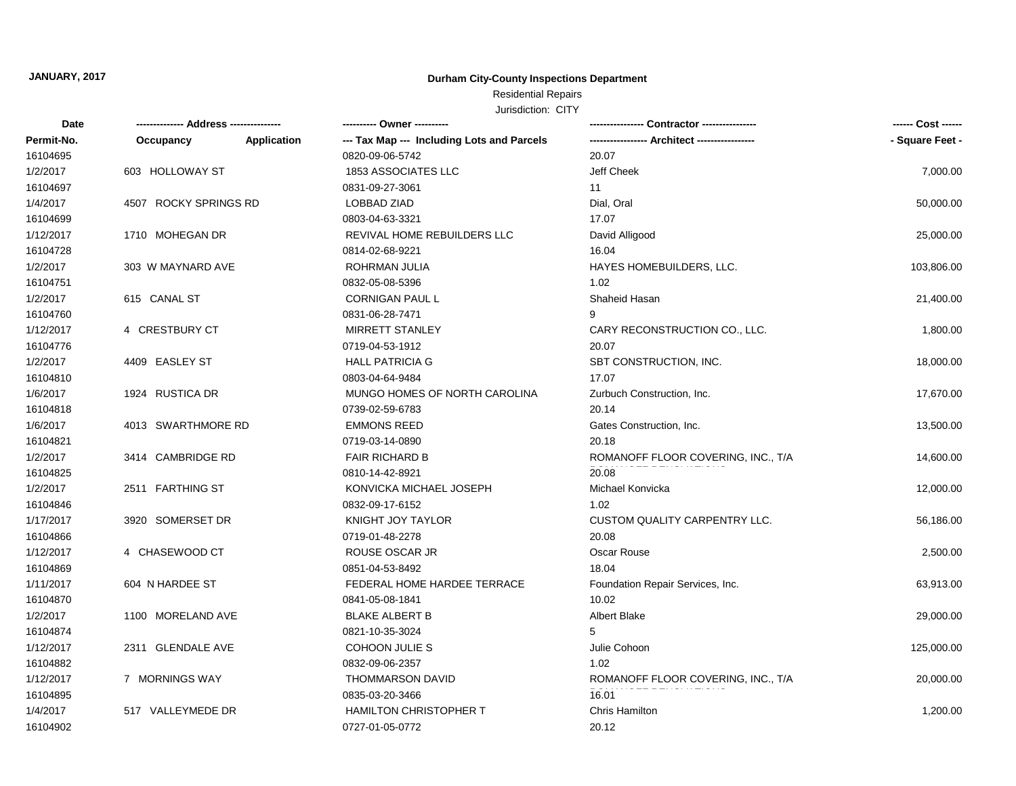### **Durham City-County Inspections Department**

## Residential Repairs

| Date       |                       |                    | ---------- Owner ----------                |                                      | ------ Cost ------ |
|------------|-----------------------|--------------------|--------------------------------------------|--------------------------------------|--------------------|
| Permit-No. | Occupancy             | <b>Application</b> | --- Tax Map --- Including Lots and Parcels |                                      | - Square Feet -    |
| 16104695   |                       |                    | 0820-09-06-5742                            | 20.07                                |                    |
| 1/2/2017   | 603 HOLLOWAY ST       |                    | 1853 ASSOCIATES LLC                        | Jeff Cheek                           | 7,000.00           |
| 16104697   |                       |                    | 0831-09-27-3061                            | 11                                   |                    |
| 1/4/2017   | 4507 ROCKY SPRINGS RD |                    | LOBBAD ZIAD                                | Dial, Oral                           | 50,000.00          |
| 16104699   |                       |                    | 0803-04-63-3321                            | 17.07                                |                    |
| 1/12/2017  | 1710 MOHEGAN DR       |                    | REVIVAL HOME REBUILDERS LLC                | David Alligood                       | 25,000.00          |
| 16104728   |                       |                    | 0814-02-68-9221                            | 16.04                                |                    |
| 1/2/2017   | 303 W MAYNARD AVE     |                    | ROHRMAN JULIA                              | HAYES HOMEBUILDERS, LLC.             | 103,806.00         |
| 16104751   |                       |                    | 0832-05-08-5396                            | 1.02                                 |                    |
| 1/2/2017   | 615 CANAL ST          |                    | <b>CORNIGAN PAUL L</b>                     | Shaheid Hasan                        | 21,400.00          |
| 16104760   |                       |                    | 0831-06-28-7471                            | 9                                    |                    |
| 1/12/2017  | 4 CRESTBURY CT        |                    | <b>MIRRETT STANLEY</b>                     | CARY RECONSTRUCTION CO., LLC.        | 1,800.00           |
| 16104776   |                       |                    | 0719-04-53-1912                            | 20.07                                |                    |
| 1/2/2017   | 4409 EASLEY ST        |                    | <b>HALL PATRICIA G</b>                     | SBT CONSTRUCTION, INC.               | 18,000.00          |
| 16104810   |                       |                    | 0803-04-64-9484                            | 17.07                                |                    |
| 1/6/2017   | 1924 RUSTICA DR       |                    | MUNGO HOMES OF NORTH CAROLINA              | Zurbuch Construction, Inc.           | 17,670.00          |
| 16104818   |                       |                    | 0739-02-59-6783                            | 20.14                                |                    |
| 1/6/2017   | 4013 SWARTHMORE RD    |                    | <b>EMMONS REED</b>                         | Gates Construction, Inc.             | 13,500.00          |
| 16104821   |                       |                    | 0719-03-14-0890                            | 20.18                                |                    |
| 1/2/2017   | 3414 CAMBRIDGE RD     |                    | <b>FAIR RICHARD B</b>                      | ROMANOFF FLOOR COVERING, INC., T/A   | 14,600.00          |
| 16104825   |                       |                    | 0810-14-42-8921                            | 20.08                                |                    |
| 1/2/2017   | 2511 FARTHING ST      |                    | KONVICKA MICHAEL JOSEPH                    | Michael Konvicka                     | 12,000.00          |
| 16104846   |                       |                    | 0832-09-17-6152                            | 1.02                                 |                    |
| 1/17/2017  | 3920 SOMERSET DR      |                    | KNIGHT JOY TAYLOR                          | <b>CUSTOM QUALITY CARPENTRY LLC.</b> | 56,186.00          |
| 16104866   |                       |                    | 0719-01-48-2278                            | 20.08                                |                    |
| 1/12/2017  | 4 CHASEWOOD CT        |                    | ROUSE OSCAR JR                             | Oscar Rouse                          | 2,500.00           |
| 16104869   |                       |                    | 0851-04-53-8492                            | 18.04                                |                    |
| 1/11/2017  | 604 N HARDEE ST       |                    | FEDERAL HOME HARDEE TERRACE                | Foundation Repair Services, Inc.     | 63,913.00          |
| 16104870   |                       |                    | 0841-05-08-1841                            | 10.02                                |                    |
| 1/2/2017   | 1100 MORELAND AVE     |                    | <b>BLAKE ALBERT B</b>                      | <b>Albert Blake</b>                  | 29,000.00          |
| 16104874   |                       |                    | 0821-10-35-3024                            | 5                                    |                    |
| 1/12/2017  | 2311 GLENDALE AVE     |                    | COHOON JULIE S                             | Julie Cohoon                         | 125,000.00         |
| 16104882   |                       |                    | 0832-09-06-2357                            | 1.02                                 |                    |
| 1/12/2017  | 7 MORNINGS WAY        |                    | <b>THOMMARSON DAVID</b>                    | ROMANOFF FLOOR COVERING, INC., T/A   | 20,000.00          |
| 16104895   |                       |                    | 0835-03-20-3466                            | 16.01                                |                    |
| 1/4/2017   | 517 VALLEYMEDE DR     |                    | HAMILTON CHRISTOPHER T                     | Chris Hamilton                       | 1,200.00           |
| 16104902   |                       |                    | 0727-01-05-0772                            | 20.12                                |                    |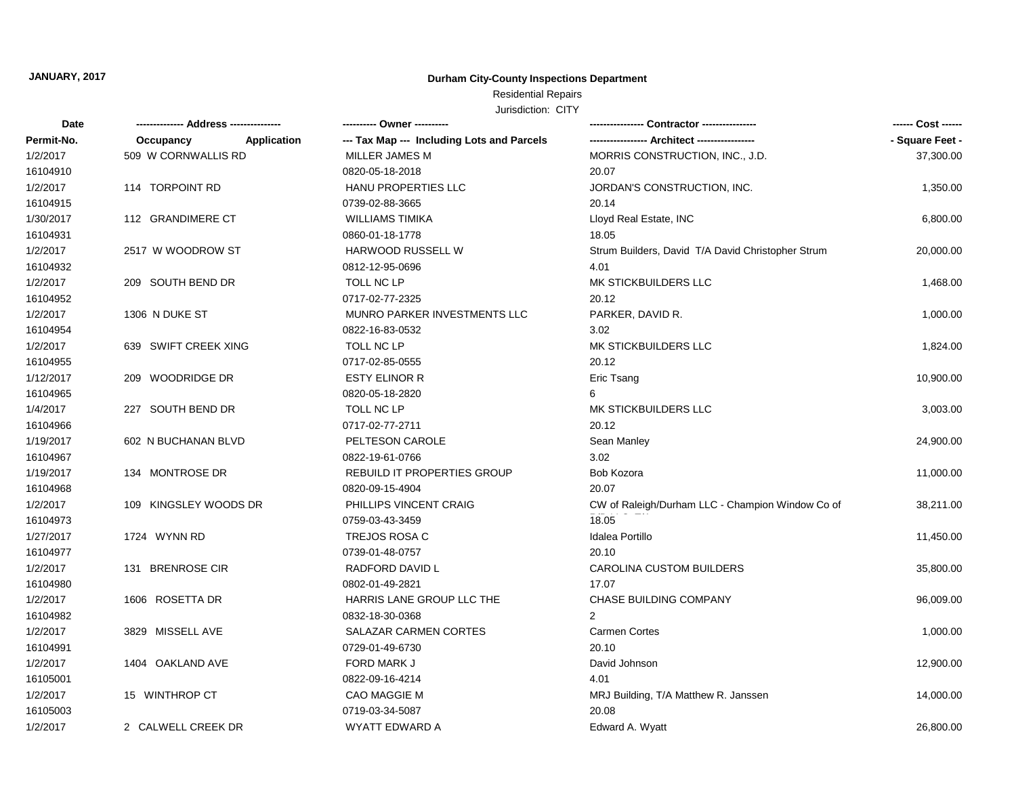### **Durham City-County Inspections Department**

# Residential Repairs

| Date       |                                 | ---------- Owner ----------                |                                                   | ------ Cost ------ |
|------------|---------------------------------|--------------------------------------------|---------------------------------------------------|--------------------|
| Permit-No. | <b>Application</b><br>Occupancy | --- Tax Map --- Including Lots and Parcels |                                                   | - Square Feet -    |
| 1/2/2017   | 509 W CORNWALLIS RD             | MILLER JAMES M                             | MORRIS CONSTRUCTION, INC., J.D.                   | 37,300.00          |
| 16104910   |                                 | 0820-05-18-2018                            | 20.07                                             |                    |
| 1/2/2017   | 114 TORPOINT RD                 | HANU PROPERTIES LLC                        | JORDAN'S CONSTRUCTION, INC.                       | 1,350.00           |
| 16104915   |                                 | 0739-02-88-3665                            | 20.14                                             |                    |
| 1/30/2017  | 112 GRANDIMERE CT               | <b>WILLIAMS TIMIKA</b>                     | Lloyd Real Estate, INC                            | 6,800.00           |
| 16104931   |                                 | 0860-01-18-1778                            | 18.05                                             |                    |
| 1/2/2017   | 2517 W WOODROW ST               | <b>HARWOOD RUSSELL W</b>                   | Strum Builders, David T/A David Christopher Strum | 20,000.00          |
| 16104932   |                                 | 0812-12-95-0696                            | 4.01                                              |                    |
| 1/2/2017   | 209 SOUTH BEND DR               | TOLL NC LP                                 | MK STICKBUILDERS LLC                              | 1,468.00           |
| 16104952   |                                 | 0717-02-77-2325                            | 20.12                                             |                    |
| 1/2/2017   | 1306 N DUKE ST                  | MUNRO PARKER INVESTMENTS LLC               | PARKER, DAVID R.                                  | 1,000.00           |
| 16104954   |                                 | 0822-16-83-0532                            | 3.02                                              |                    |
| 1/2/2017   | 639 SWIFT CREEK XING            | TOLL NC LP                                 | MK STICKBUILDERS LLC                              | 1,824.00           |
| 16104955   |                                 | 0717-02-85-0555                            | 20.12                                             |                    |
| 1/12/2017  | 209 WOODRIDGE DR                | <b>ESTY ELINOR R</b>                       | Eric Tsang                                        | 10,900.00          |
| 16104965   |                                 | 0820-05-18-2820                            | 6                                                 |                    |
| 1/4/2017   | 227 SOUTH BEND DR               | TOLL NC LP                                 | MK STICKBUILDERS LLC                              | 3,003.00           |
| 16104966   |                                 | 0717-02-77-2711                            | 20.12                                             |                    |
| 1/19/2017  | 602 N BUCHANAN BLVD             | PELTESON CAROLE                            | Sean Manley                                       | 24,900.00          |
| 16104967   |                                 | 0822-19-61-0766                            | 3.02                                              |                    |
| 1/19/2017  | 134 MONTROSE DR                 | <b>REBUILD IT PROPERTIES GROUP</b>         | Bob Kozora                                        | 11,000.00          |
| 16104968   |                                 | 0820-09-15-4904                            | 20.07                                             |                    |
| 1/2/2017   | 109 KINGSLEY WOODS DR           | PHILLIPS VINCENT CRAIG                     | CW of Raleigh/Durham LLC - Champion Window Co of  | 38,211.00          |
| 16104973   |                                 | 0759-03-43-3459                            | 18.05                                             |                    |
| 1/27/2017  | 1724 WYNN RD                    | <b>TREJOS ROSA C</b>                       | Idalea Portillo                                   | 11,450.00          |
| 16104977   |                                 | 0739-01-48-0757                            | 20.10                                             |                    |
| 1/2/2017   | 131 BRENROSE CIR                | RADFORD DAVID L                            | <b>CAROLINA CUSTOM BUILDERS</b>                   | 35,800.00          |
| 16104980   |                                 | 0802-01-49-2821                            | 17.07                                             |                    |
| 1/2/2017   | 1606 ROSETTA DR                 | HARRIS LANE GROUP LLC THE                  | <b>CHASE BUILDING COMPANY</b>                     | 96,009.00          |
| 16104982   |                                 | 0832-18-30-0368                            | $\mathcal{P}$                                     |                    |
| 1/2/2017   | 3829 MISSELL AVE                | SALAZAR CARMEN CORTES                      | <b>Carmen Cortes</b>                              | 1,000.00           |
| 16104991   |                                 | 0729-01-49-6730                            | 20.10                                             |                    |
| 1/2/2017   | 1404 OAKLAND AVE                | <b>FORD MARK J</b>                         | David Johnson                                     | 12,900.00          |
| 16105001   |                                 | 0822-09-16-4214                            | 4.01                                              |                    |
| 1/2/2017   | 15 WINTHROP CT                  | <b>CAO MAGGIE M</b>                        | MRJ Building, T/A Matthew R. Janssen              | 14,000.00          |
| 16105003   |                                 | 0719-03-34-5087                            | 20.08                                             |                    |
| 1/2/2017   | 2 CALWELL CREEK DR              | WYATT EDWARD A                             | Edward A. Wyatt                                   | 26,800.00          |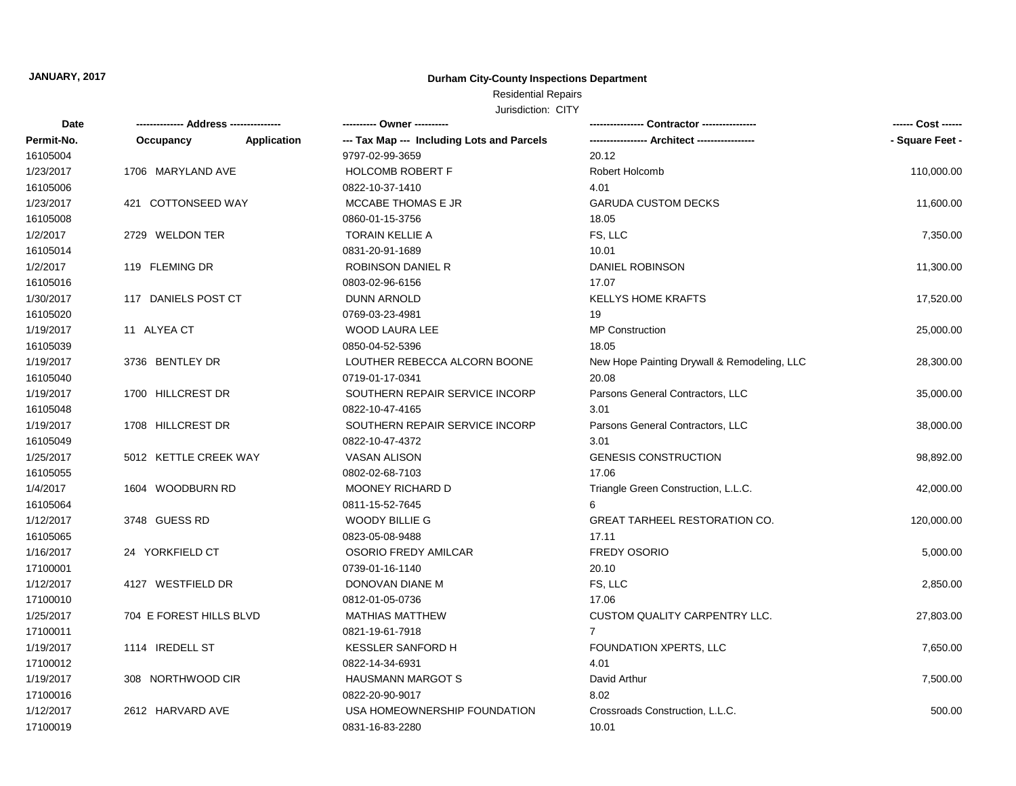### **Durham City-County Inspections Department**

### Residential Repairs

| Date       |                         |                    | ---------- Owner ----------                |                                             | ------ Cost ------ |
|------------|-------------------------|--------------------|--------------------------------------------|---------------------------------------------|--------------------|
| Permit-No. | Occupancy               | <b>Application</b> | --- Tax Map --- Including Lots and Parcels |                                             | - Square Feet -    |
| 16105004   |                         |                    | 9797-02-99-3659                            | 20.12                                       |                    |
| 1/23/2017  | 1706 MARYLAND AVE       |                    | <b>HOLCOMB ROBERT F</b>                    | Robert Holcomb                              | 110,000.00         |
| 16105006   |                         |                    | 0822-10-37-1410                            | 4.01                                        |                    |
| 1/23/2017  | 421 COTTONSEED WAY      |                    | MCCABE THOMAS E JR                         | <b>GARUDA CUSTOM DECKS</b>                  | 11,600.00          |
| 16105008   |                         |                    | 0860-01-15-3756                            | 18.05                                       |                    |
| 1/2/2017   | 2729 WELDON TER         |                    | TORAIN KELLIE A                            | FS, LLC                                     | 7,350.00           |
| 16105014   |                         |                    | 0831-20-91-1689                            | 10.01                                       |                    |
| 1/2/2017   | 119 FLEMING DR          |                    | <b>ROBINSON DANIEL R</b>                   | <b>DANIEL ROBINSON</b>                      | 11,300.00          |
| 16105016   |                         |                    | 0803-02-96-6156                            | 17.07                                       |                    |
| 1/30/2017  | 117 DANIELS POST CT     |                    | <b>DUNN ARNOLD</b>                         | <b>KELLYS HOME KRAFTS</b>                   | 17,520.00          |
| 16105020   |                         |                    | 0769-03-23-4981                            | 19                                          |                    |
| 1/19/2017  | 11 ALYEA CT             |                    | <b>WOOD LAURA LEE</b>                      | <b>MP Construction</b>                      | 25,000.00          |
| 16105039   |                         |                    | 0850-04-52-5396                            | 18.05                                       |                    |
| 1/19/2017  | 3736 BENTLEY DR         |                    | LOUTHER REBECCA ALCORN BOONE               | New Hope Painting Drywall & Remodeling, LLC | 28,300.00          |
| 16105040   |                         |                    | 0719-01-17-0341                            | 20.08                                       |                    |
| 1/19/2017  | 1700 HILLCREST DR       |                    | SOUTHERN REPAIR SERVICE INCORP             | Parsons General Contractors, LLC            | 35,000.00          |
| 16105048   |                         |                    | 0822-10-47-4165                            | 3.01                                        |                    |
| 1/19/2017  | 1708 HILLCREST DR       |                    | SOUTHERN REPAIR SERVICE INCORP             | Parsons General Contractors, LLC            | 38,000.00          |
| 16105049   |                         |                    | 0822-10-47-4372                            | 3.01                                        |                    |
| 1/25/2017  | 5012 KETTLE CREEK WAY   |                    | <b>VASAN ALISON</b>                        | <b>GENESIS CONSTRUCTION</b>                 | 98,892.00          |
| 16105055   |                         |                    | 0802-02-68-7103                            | 17.06                                       |                    |
| 1/4/2017   | 1604 WOODBURN RD        |                    | <b>MOONEY RICHARD D</b>                    | Triangle Green Construction, L.L.C.         | 42,000.00          |
| 16105064   |                         |                    | 0811-15-52-7645                            | 6                                           |                    |
| 1/12/2017  | 3748 GUESS RD           |                    | <b>WOODY BILLIE G</b>                      | <b>GREAT TARHEEL RESTORATION CO.</b>        | 120,000.00         |
| 16105065   |                         |                    | 0823-05-08-9488                            | 17.11                                       |                    |
| 1/16/2017  | 24 YORKFIELD CT         |                    | <b>OSORIO FREDY AMILCAR</b>                | FREDY OSORIO                                | 5,000.00           |
| 17100001   |                         |                    | 0739-01-16-1140                            | 20.10                                       |                    |
| 1/12/2017  | 4127 WESTFIELD DR       |                    | DONOVAN DIANE M                            | FS, LLC                                     | 2,850.00           |
| 17100010   |                         |                    | 0812-01-05-0736                            | 17.06                                       |                    |
| 1/25/2017  | 704 E FOREST HILLS BLVD |                    | <b>MATHIAS MATTHEW</b>                     | <b>CUSTOM QUALITY CARPENTRY LLC.</b>        | 27,803.00          |
| 17100011   |                         |                    | 0821-19-61-7918                            | $\overline{7}$                              |                    |
| 1/19/2017  | 1114 IREDELL ST         |                    | <b>KESSLER SANFORD H</b>                   | FOUNDATION XPERTS, LLC                      | 7,650.00           |
| 17100012   |                         |                    | 0822-14-34-6931                            | 4.01                                        |                    |
| 1/19/2017  | 308 NORTHWOOD CIR       |                    | <b>HAUSMANN MARGOT S</b>                   | David Arthur                                | 7,500.00           |
| 17100016   |                         |                    | 0822-20-90-9017                            | 8.02                                        |                    |
| 1/12/2017  | 2612 HARVARD AVE        |                    | USA HOMEOWNERSHIP FOUNDATION               | Crossroads Construction, L.L.C.             | 500.00             |
| 17100019   |                         |                    | 0831-16-83-2280                            | 10.01                                       |                    |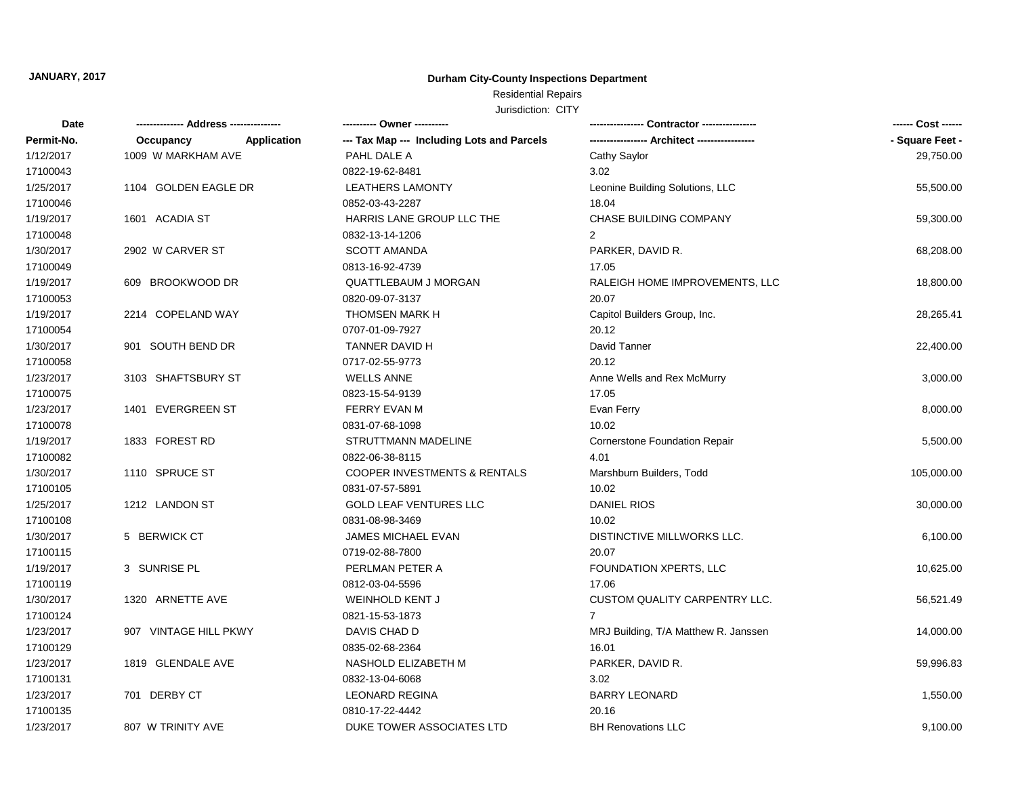### **Durham City-County Inspections Department**

# Residential Repairs

| Date       |                       |             | ---------- Owner ----------                |                                      | ------ Cost ------ |
|------------|-----------------------|-------------|--------------------------------------------|--------------------------------------|--------------------|
| Permit-No. | Occupancy             | Application | --- Tax Map --- Including Lots and Parcels |                                      | - Square Feet -    |
| 1/12/2017  | 1009 W MARKHAM AVE    |             | PAHL DALE A                                | Cathy Saylor                         | 29,750.00          |
| 17100043   |                       |             | 0822-19-62-8481                            | 3.02                                 |                    |
| 1/25/2017  | 1104 GOLDEN EAGLE DR  |             | <b>LEATHERS LAMONTY</b>                    | Leonine Building Solutions, LLC      | 55,500.00          |
| 17100046   |                       |             | 0852-03-43-2287                            | 18.04                                |                    |
| 1/19/2017  | 1601 ACADIA ST        |             | HARRIS LANE GROUP LLC THE                  | <b>CHASE BUILDING COMPANY</b>        | 59,300.00          |
| 17100048   |                       |             | 0832-13-14-1206                            | 2                                    |                    |
| 1/30/2017  | 2902 W CARVER ST      |             | <b>SCOTT AMANDA</b>                        | PARKER, DAVID R.                     | 68,208.00          |
| 17100049   |                       |             | 0813-16-92-4739                            | 17.05                                |                    |
| 1/19/2017  | 609 BROOKWOOD DR      |             | <b>QUATTLEBAUM J MORGAN</b>                | RALEIGH HOME IMPROVEMENTS, LLC       | 18,800.00          |
| 17100053   |                       |             | 0820-09-07-3137                            | 20.07                                |                    |
| 1/19/2017  | 2214 COPELAND WAY     |             | <b>THOMSEN MARK H</b>                      | Capitol Builders Group, Inc.         | 28,265.41          |
| 17100054   |                       |             | 0707-01-09-7927                            | 20.12                                |                    |
| 1/30/2017  | 901 SOUTH BEND DR     |             | TANNER DAVID H                             | David Tanner                         | 22,400.00          |
| 17100058   |                       |             | 0717-02-55-9773                            | 20.12                                |                    |
| 1/23/2017  | 3103 SHAFTSBURY ST    |             | <b>WELLS ANNE</b>                          | Anne Wells and Rex McMurry           | 3,000.00           |
| 17100075   |                       |             | 0823-15-54-9139                            | 17.05                                |                    |
| 1/23/2017  | 1401 EVERGREEN ST     |             | <b>FERRY EVAN M</b>                        | Evan Ferry                           | 8,000.00           |
| 17100078   |                       |             | 0831-07-68-1098                            | 10.02                                |                    |
| 1/19/2017  | 1833 FOREST RD        |             | STRUTTMANN MADELINE                        | <b>Cornerstone Foundation Repair</b> | 5,500.00           |
| 17100082   |                       |             | 0822-06-38-8115                            | 4.01                                 |                    |
| 1/30/2017  | 1110 SPRUCE ST        |             | <b>COOPER INVESTMENTS &amp; RENTALS</b>    | Marshburn Builders, Todd             | 105,000.00         |
| 17100105   |                       |             | 0831-07-57-5891                            | 10.02                                |                    |
| 1/25/2017  | 1212 LANDON ST        |             | <b>GOLD LEAF VENTURES LLC</b>              | <b>DANIEL RIOS</b>                   | 30,000.00          |
| 17100108   |                       |             | 0831-08-98-3469                            | 10.02                                |                    |
| 1/30/2017  | 5 BERWICK CT          |             | JAMES MICHAEL EVAN                         | DISTINCTIVE MILLWORKS LLC.           | 6,100.00           |
| 17100115   |                       |             | 0719-02-88-7800                            | 20.07                                |                    |
| 1/19/2017  | 3 SUNRISE PL          |             | PERLMAN PETER A                            | FOUNDATION XPERTS, LLC               | 10,625.00          |
| 17100119   |                       |             | 0812-03-04-5596                            | 17.06                                |                    |
| 1/30/2017  | 1320 ARNETTE AVE      |             | <b>WEINHOLD KENT J</b>                     | <b>CUSTOM QUALITY CARPENTRY LLC.</b> | 56,521.49          |
| 17100124   |                       |             | 0821-15-53-1873                            | $\overline{7}$                       |                    |
| 1/23/2017  | 907 VINTAGE HILL PKWY |             | DAVIS CHAD D                               | MRJ Building, T/A Matthew R. Janssen | 14,000.00          |
| 17100129   |                       |             | 0835-02-68-2364                            | 16.01                                |                    |
| 1/23/2017  | 1819 GLENDALE AVE     |             | NASHOLD ELIZABETH M                        | PARKER, DAVID R.                     | 59,996.83          |
| 17100131   |                       |             | 0832-13-04-6068                            | 3.02                                 |                    |
| 1/23/2017  | 701 DERBY CT          |             | <b>LEONARD REGINA</b>                      | <b>BARRY LEONARD</b>                 | 1,550.00           |
| 17100135   |                       |             | 0810-17-22-4442                            | 20.16                                |                    |
| 1/23/2017  | 807 W TRINITY AVE     |             | DUKE TOWER ASSOCIATES LTD                  | <b>BH Renovations LLC</b>            | 9,100.00           |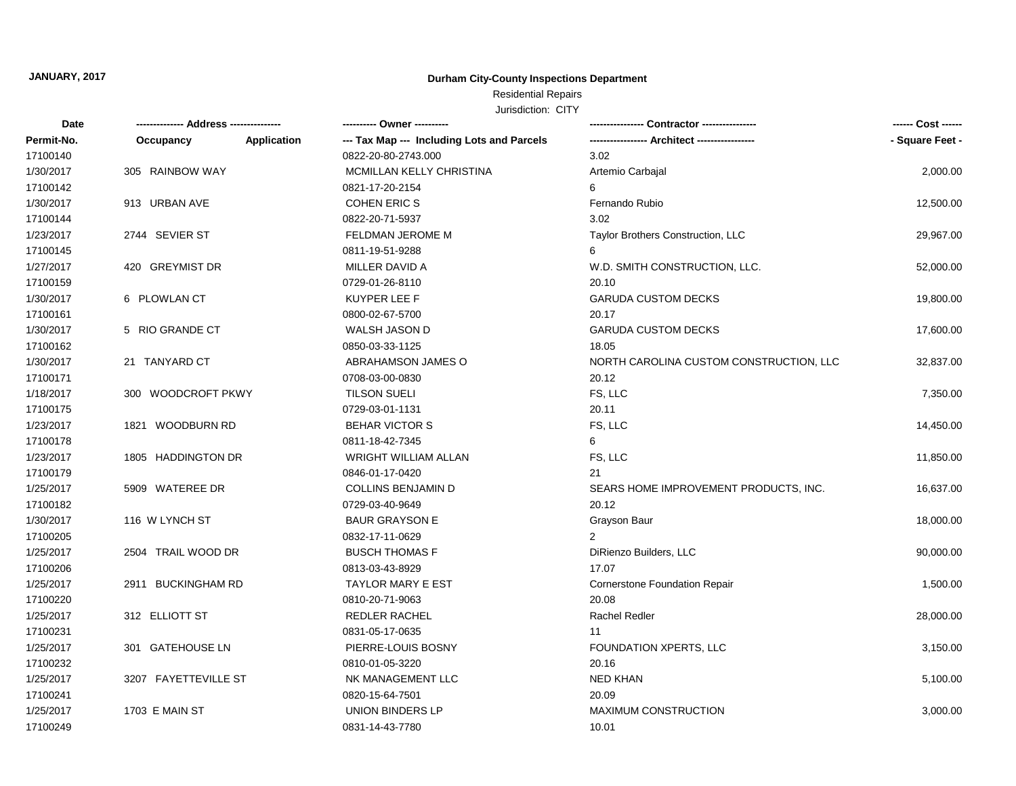### **Durham City-County Inspections Department**

### Residential Repairs

| Date       |                      |                    | ---------- Owner ----------                |                                         | ------ Cost ------ |
|------------|----------------------|--------------------|--------------------------------------------|-----------------------------------------|--------------------|
| Permit-No. | Occupancy            | <b>Application</b> | --- Tax Map --- Including Lots and Parcels |                                         | - Square Feet -    |
| 17100140   |                      |                    | 0822-20-80-2743.000                        | 3.02                                    |                    |
| 1/30/2017  | 305 RAINBOW WAY      |                    | MCMILLAN KELLY CHRISTINA                   | Artemio Carbajal                        | 2,000.00           |
| 17100142   |                      |                    | 0821-17-20-2154                            | 6                                       |                    |
| 1/30/2017  | 913 URBAN AVE        |                    | <b>COHEN ERIC S</b>                        | Fernando Rubio                          | 12,500.00          |
| 17100144   |                      |                    | 0822-20-71-5937                            | 3.02                                    |                    |
| 1/23/2017  | 2744 SEVIER ST       |                    | <b>FELDMAN JEROME M</b>                    | Taylor Brothers Construction, LLC       | 29,967.00          |
| 17100145   |                      |                    | 0811-19-51-9288                            | 6                                       |                    |
| 1/27/2017  | 420 GREYMIST DR      |                    | MILLER DAVID A                             | W.D. SMITH CONSTRUCTION, LLC.           | 52,000.00          |
| 17100159   |                      |                    | 0729-01-26-8110                            | 20.10                                   |                    |
| 1/30/2017  | 6 PLOWLAN CT         |                    | <b>KUYPER LEE F</b>                        | <b>GARUDA CUSTOM DECKS</b>              | 19,800.00          |
| 17100161   |                      |                    | 0800-02-67-5700                            | 20.17                                   |                    |
| 1/30/2017  | 5 RIO GRANDE CT      |                    | WALSH JASON D                              | <b>GARUDA CUSTOM DECKS</b>              | 17,600.00          |
| 17100162   |                      |                    | 0850-03-33-1125                            | 18.05                                   |                    |
| 1/30/2017  | 21 TANYARD CT        |                    | ABRAHAMSON JAMES O                         | NORTH CAROLINA CUSTOM CONSTRUCTION, LLC | 32,837.00          |
| 17100171   |                      |                    | 0708-03-00-0830                            | 20.12                                   |                    |
| 1/18/2017  | 300 WOODCROFT PKWY   |                    | <b>TILSON SUELI</b>                        | FS, LLC                                 | 7,350.00           |
| 17100175   |                      |                    | 0729-03-01-1131                            | 20.11                                   |                    |
| 1/23/2017  | 1821 WOODBURN RD     |                    | <b>BEHAR VICTOR S</b>                      | FS, LLC                                 | 14,450.00          |
| 17100178   |                      |                    | 0811-18-42-7345                            | 6                                       |                    |
| 1/23/2017  | 1805 HADDINGTON DR   |                    | <b>WRIGHT WILLIAM ALLAN</b>                | FS, LLC                                 | 11,850.00          |
| 17100179   |                      |                    | 0846-01-17-0420                            | 21                                      |                    |
| 1/25/2017  | 5909 WATEREE DR      |                    | <b>COLLINS BENJAMIN D</b>                  | SEARS HOME IMPROVEMENT PRODUCTS, INC.   | 16,637.00          |
| 17100182   |                      |                    | 0729-03-40-9649                            | 20.12                                   |                    |
| 1/30/2017  | 116 W LYNCH ST       |                    | <b>BAUR GRAYSON E</b>                      | Grayson Baur                            | 18,000.00          |
| 17100205   |                      |                    | 0832-17-11-0629                            | $\overline{2}$                          |                    |
| 1/25/2017  | 2504 TRAIL WOOD DR   |                    | <b>BUSCH THOMAS F</b>                      | DiRienzo Builders, LLC                  | 90,000.00          |
| 17100206   |                      |                    | 0813-03-43-8929                            | 17.07                                   |                    |
| 1/25/2017  | 2911 BUCKINGHAM RD   |                    | <b>TAYLOR MARY E EST</b>                   | <b>Cornerstone Foundation Repair</b>    | 1,500.00           |
| 17100220   |                      |                    | 0810-20-71-9063                            | 20.08                                   |                    |
| 1/25/2017  | 312 ELLIOTT ST       |                    | REDLER RACHEL                              | <b>Rachel Redler</b>                    | 28,000.00          |
| 17100231   |                      |                    | 0831-05-17-0635                            | 11                                      |                    |
| 1/25/2017  | 301 GATEHOUSE LN     |                    | PIERRE-LOUIS BOSNY                         | FOUNDATION XPERTS, LLC                  | 3,150.00           |
| 17100232   |                      |                    | 0810-01-05-3220                            | 20.16                                   |                    |
| 1/25/2017  | 3207 FAYETTEVILLE ST |                    | NK MANAGEMENT LLC                          | <b>NED KHAN</b>                         | 5,100.00           |
| 17100241   |                      |                    | 0820-15-64-7501                            | 20.09                                   |                    |
| 1/25/2017  | 1703 E MAIN ST       |                    | UNION BINDERS LP                           | <b>MAXIMUM CONSTRUCTION</b>             | 3,000.00           |
| 17100249   |                      |                    | 0831-14-43-7780                            | 10.01                                   |                    |